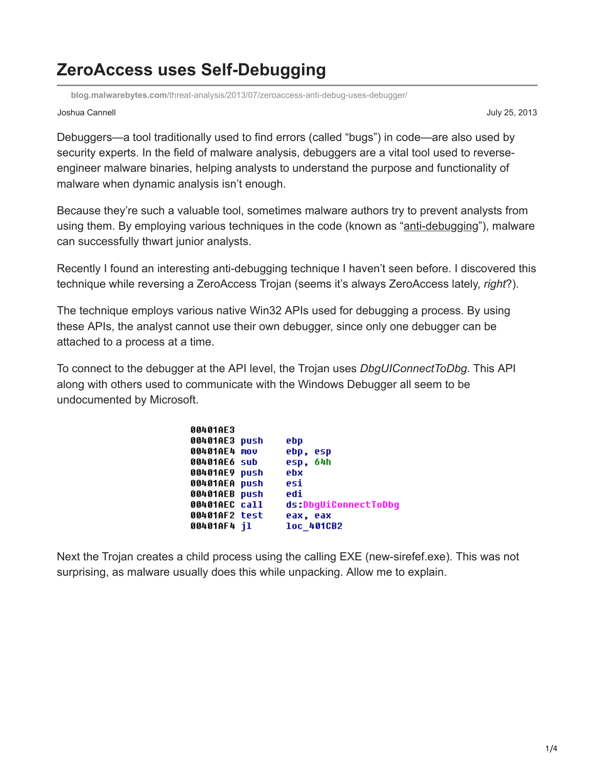## **ZeroAccess uses Self-Debugging**

**blog.malwarebytes.com**[/threat-analysis/2013/07/zeroaccess-anti-debug-uses-debugger/](https://blog.malwarebytes.com/threat-analysis/2013/07/zeroaccess-anti-debug-uses-debugger/)

## Joshua Cannell July 25, 2013

Debuggers—a tool traditionally used to find errors (called "bugs") in code—are also used by security experts. In the field of malware analysis, debuggers are a vital tool used to reverseengineer malware binaries, helping analysts to understand the purpose and functionality of malware when dynamic analysis isn't enough.

Because they're such a valuable tool, sometimes malware authors try to prevent analysts from using them. By employing various techniques in the code (known as "[anti-debugging](http://en.wikipedia.org/wiki/Debugging#Anti-debugging)"), malware can successfully thwart junior analysts.

Recently I found an interesting anti-debugging technique I haven't seen before. I discovered this technique while reversing a ZeroAccess Trojan (seems it's always ZeroAccess lately, *right*?).

The technique employs various native Win32 APIs used for debugging a process. By using these APIs, the analyst cannot use their own debugger, since only one debugger can be attached to a process at a time.

To connect to the debugger at the API level, the Trojan uses *DbgUIConnectToDbg*. This API along with others used to communicate with the Windows Debugger all seem to be undocumented by Microsoft.

| 00401AE3      |                      |
|---------------|----------------------|
| 00401AE3 push | ebp                  |
| 00401AE4 mov  | ebp, esp             |
| 00401AE6 sub  | esp, 64h             |
| 00401AE9 push | ebx                  |
| 00401AEA push | esi                  |
| 00401AEB push | edi                  |
| 00401AEC call | ds:DbqUiConnectToDbq |
| 00401AF2 test | eax, eax             |
| 00401AF4 jl   | loc 401CB2           |

Next the Trojan creates a child process using the calling EXE (new-sirefef.exe). This was not surprising, as malware usually does this while unpacking. Allow me to explain.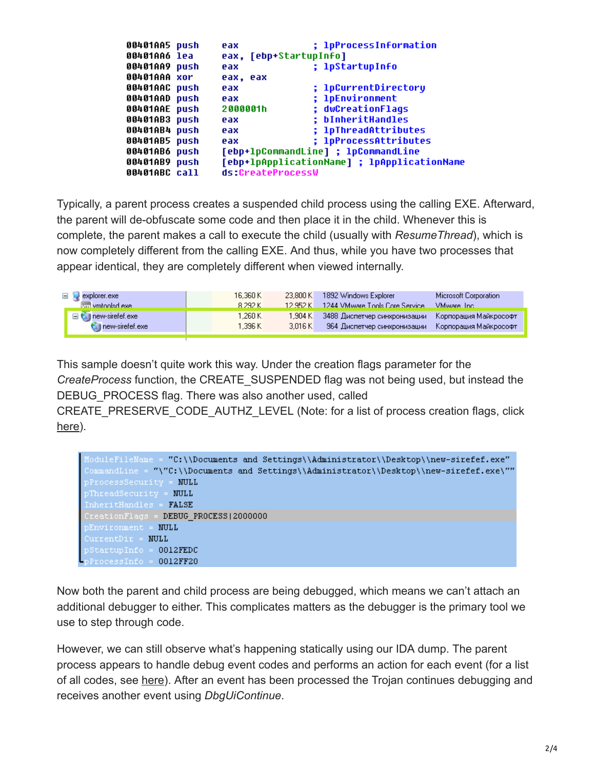| 00401AA5 push | eax                    | ; 1pProcessInformation                      |
|---------------|------------------------|---------------------------------------------|
| 00401AA6 lea  | eax, [ebp+StartupInfo] |                                             |
| 00401AA9 push | eax                    | ; lpStartupInfo                             |
| 00401AAA xor  | eax, eax               |                                             |
| 00401AAC push | eax                    | ; 1pCurrentDirectory                        |
| 00401AAD push | eax                    | ; 1pEnvironment                             |
| 00401AAE push | 2000001h               | ; dwCreationFlags                           |
| 00401AB3 push | eax                    | ; bInheritHandles                           |
| 00401AB4 push | eax                    | ; 1pThreadAttributes                        |
| 00401AB5 push | eax                    | ; 1pProcessAttributes                       |
| 00401AB6 push |                        | [ebp+lpCommandLine] ; lpCommandLine         |
| 00401AB9 push |                        | [ebp+lpApplicationName] ; lpApplicationName |
| 00401ABC call | ds:CreateProcessW      |                                             |

Typically, a parent process creates a suspended child process using the calling EXE. Afterward, the parent will de-obfuscate some code and then place it in the child. Whenever this is complete, the parent makes a call to execute the child (usually with *ResumeThread*), which is now completely different from the calling EXE. And thus, while you have two processes that appear identical, they are completely different when viewed internally.

| $\Box$ explorer.exe        | 16.360 K | 23.800 K | 1892 Windows Explorer                                    | Microsoft Corporation |
|----------------------------|----------|----------|----------------------------------------------------------|-----------------------|
| km vmtoolsd exe            | 8.292 K  | 12952K   | 1244 VMware Tools Core Service                           | <b>VMware</b> Inc.    |
| □ <i>Q</i> new-sirefef.exe | 1.260 K  | 1.904 KL | — 3488 Диспетчер синхронизации — Корпорация Майкрософт . |                       |
| new-sirefef.exe            | 1.396 K  | 3.016 K  | - 964 Диспетчер синхронизации - Корпорация Майкрософт-   |                       |
|                            |          |          |                                                          |                       |

This sample doesn't quite work this way. Under the creation flags parameter for the *CreateProcess* function, the CREATE\_SUSPENDED flag was not being used, but instead the DEBUG PROCESS flag. There was also another used, called

CREATE\_PRESERVE\_CODE\_AUTHZ\_LEVEL (Note: for a list of process creation flags, click [here\)](https://www.google.com/search?q=CREATE_PRESERVE_CODE_AUTHZ_LEVEL&oq=CREATE_PRESERVE_CODE_AUTHZ_LEVEL&aqs=chrome.0.69i57j69i61j69i62l3.847j0&sourceid=chrome&ie=UTF-8).

| ModuleFileMame = "C:\\Documents and Settings\\Administrator\\Desktop\\new-sirefef.exe"  |
|-----------------------------------------------------------------------------------------|
| CommandLine = "\"C:\\Documents and Settings\\Administrator\\Desktop\\new-sirefef.exe\"" |
| pProcessSecurity = NULL                                                                 |
| pThreadSecurity = NULL                                                                  |
| InheritHandles = <b>FALSE</b>                                                           |
| CreationFlags = <b>DEBUG PROCESS 2000000</b>                                            |
| pEnvironment = NULL                                                                     |
| CurrentDir = NULL                                                                       |
| $pStartupInfo = 0012FEDC$                                                               |
| $n\text{ProcessInfo} = 0012\text{FF20}$                                                 |

Now both the parent and child process are being debugged, which means we can't attach an additional debugger to either. This complicates matters as the debugger is the primary tool we use to step through code.

However, we can still observe what's happening statically using our IDA dump. The parent process appears to handle debug event codes and performs an action for each event (for a list of all codes, see [here](http://msdn.microsoft.com/en-us/library/windows/desktop/ms679308(v=vs.85).aspx)). After an event has been processed the Trojan continues debugging and receives another event using *DbgUiContinue*.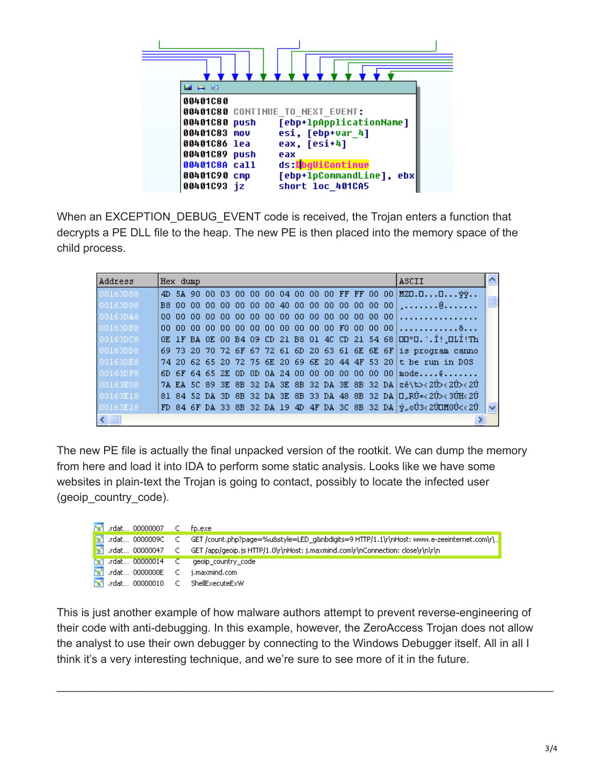

When an EXCEPTION\_DEBUG\_EVENT code is received, the Trojan enters a function that decrypts a PE DLL file to the heap. The new PE is then placed into the memory space of the child process.

| Address      | Hex dump |  |  |  |  |  |  |  | ASCII                                                                           |  |
|--------------|----------|--|--|--|--|--|--|--|---------------------------------------------------------------------------------|--|
| 00163D88     |          |  |  |  |  |  |  |  | 4D 5A 90 00 03 00 00 00 00 04 00 00 00 FF FF 00 00 MZD.DD $\ddot{v}$ .          |  |
| 00163D98     |          |  |  |  |  |  |  |  |                                                                                 |  |
| 00163DA8     |          |  |  |  |  |  |  |  |                                                                                 |  |
| 00163DB8     |          |  |  |  |  |  |  |  |                                                                                 |  |
| 00163DC8     |          |  |  |  |  |  |  |  | OE 1F BA OE 00 B4 09 CD 21 B8 01 4C CD 21 54 68 OO0°O.1.1! OLI!Th               |  |
| 00163DD8     |          |  |  |  |  |  |  |  | 69 73 20 70 72 6F 67 72 61 6D 20 63 61 6E 6E 6F is program canno                |  |
| 00163DE8     |          |  |  |  |  |  |  |  | 74 20 62 65 20 72 75 6E 20 69 6E 20 44 4F 53 20 t be run in D0S                 |  |
| 00163DF8     |          |  |  |  |  |  |  |  | 6D 6F 64 65 2E OD OD 0A 24 00 00 00 00 00 00 00 $\text{mod}e \dots$ ,           |  |
| 00163E08     |          |  |  |  |  |  |  |  | 7A EA 5C 89 3E 8B 32 DA 3E 8B 32 DA 3E 8B 32 DA zê\‱<2Ú><2Ú><2Ú                 |  |
| 00163E18     |          |  |  |  |  |  |  |  | 81 84 52 DA 3D 8B 32 DA 3E 8B 33 DA 48 8B 32 DA D.RÚ=<2Ú><3ÚH<2Ú                |  |
| 00163E28     |          |  |  |  |  |  |  |  | FD 84 6F DA 33 8B 32 DA 19 4D 4F DA 3C 8B 32 DA $ \psi_{\infty}$ oÚ3<2ÚIMOÚ<<2Ú |  |
| $\leq$   III |          |  |  |  |  |  |  |  |                                                                                 |  |

The new PE file is actually the final unpacked version of the rootkit. We can dump the memory from here and load it into IDA to perform some static analysis. Looks like we have some websites in plain-text the Trojan is going to contact, possibly to locate the infected user (geoip\_country\_code).

| $\left  \mathbf{\hat{s}} \right $ .rdat 00000007 $\left  \mathbf{\hat{c}} \right $ | fo.exe                                                                                                                              |
|------------------------------------------------------------------------------------|-------------------------------------------------------------------------------------------------------------------------------------|
|                                                                                    | _is'__rdat…_0000009C___C___GET /count.php?page=%u&style=LED_q&nbdigits=9 HTTP/1.1\r\nHost: www.e-zeeinternet.com\r\… <mark>_</mark> |
|                                                                                    | rdat 00000047 C GET /app/geoip.js HTTP/1.0\r\nHost: j.maxmind.com\r\nConnection: close\r\n\r\n                                      |
| $\Gamma$ s'l .rdat 00000014 $\subset$                                              | geoip country code                                                                                                                  |
| $\left  \mathbf{\hat{s}} \right $ .rdat 0000000E $\left  \right $ C                | i.maxmind.com                                                                                                                       |
| <sup>s</sup> s'<br>rdat 00000010 (C)。                                              | ShellExecuteExW                                                                                                                     |

This is just another example of how malware authors attempt to prevent reverse-engineering of their code with anti-debugging. In this example, however, the ZeroAccess Trojan does not allow the analyst to use their own debugger by connecting to the Windows Debugger itself. All in all I think it's a very interesting technique, and we're sure to see more of it in the future.

\_\_\_\_\_\_\_\_\_\_\_\_\_\_\_\_\_\_\_\_\_\_\_\_\_\_\_\_\_\_\_\_\_\_\_\_\_\_\_\_\_\_\_\_\_\_\_\_\_\_\_\_\_\_\_\_\_\_\_\_\_\_\_\_\_\_\_\_\_\_\_\_\_\_\_\_\_\_\_